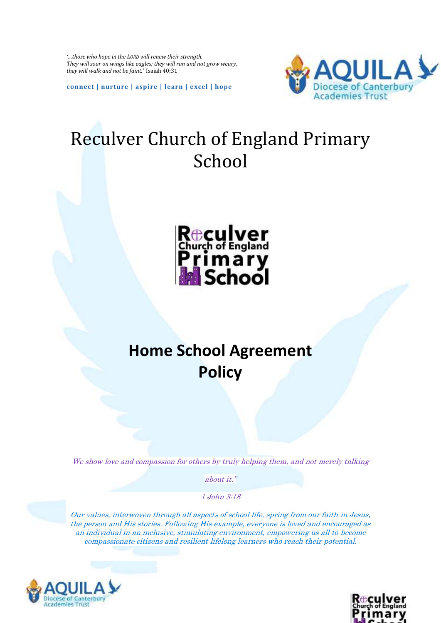*'…those who hope in the LORD will renew their strength. They will soar on wings like eagles; they will run and not grow weary, they will walk and not be faint.'* Isaiah 40:31

**connect | nurture | aspire | learn | excel | hope**



## Reculver Church of England Primary School



## **Home School Agreement Policy**

We show love and compassion for others by truly helping them, and not merely talking

about it."

1 John 3:18

Our values, interwoven through all aspects of school life, spring from our faith in Jesus, the person and His stories. Following His example, everyone is loved and encouraged as an individual in an inclusive, stimulating environment, empowering us all to become compassionate citizens and resilient lifelong learners who reach their potential.



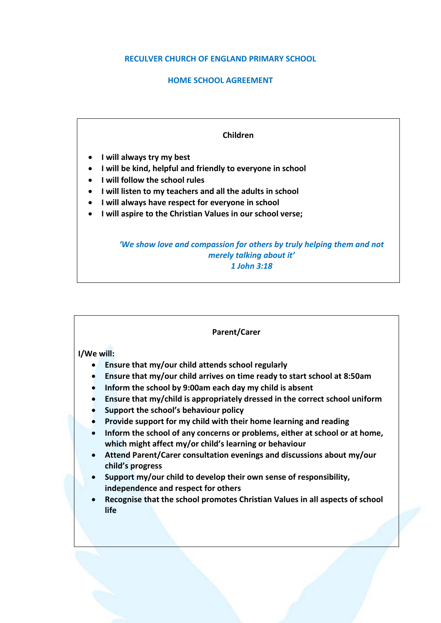## **RECULVER CHURCH OF ENGLAND PRIMARY SCHOOL**

## **HOME SCHOOL AGREEMENT**



| <b>Parent/Carer</b>                                                                                                                                                                                                                                                                                                                                                                                                                                                                                                                                                                                                                                                                                                                                                                                                                                                       |
|---------------------------------------------------------------------------------------------------------------------------------------------------------------------------------------------------------------------------------------------------------------------------------------------------------------------------------------------------------------------------------------------------------------------------------------------------------------------------------------------------------------------------------------------------------------------------------------------------------------------------------------------------------------------------------------------------------------------------------------------------------------------------------------------------------------------------------------------------------------------------|
| I/We will:<br>Ensure that my/our child attends school regularly<br>Ensure that my/our child arrives on time ready to start school at 8:50am<br>$\bullet$<br>Inform the school by 9:00am each day my child is absent<br>Ensure that my/child is appropriately dressed in the correct school uniform<br>Support the school's behaviour policy<br>Provide support for my child with their home learning and reading<br>Inform the school of any concerns or problems, either at school or at home,<br>which might affect my/or child's learning or behaviour<br>Attend Parent/Carer consultation evenings and discussions about my/our<br>child's progress<br>Support my/our child to develop their own sense of responsibility,<br>independence and respect for others<br>Recognise that the school promotes Christian Values in all aspects of school<br>$\bullet$<br>life |
|                                                                                                                                                                                                                                                                                                                                                                                                                                                                                                                                                                                                                                                                                                                                                                                                                                                                           |